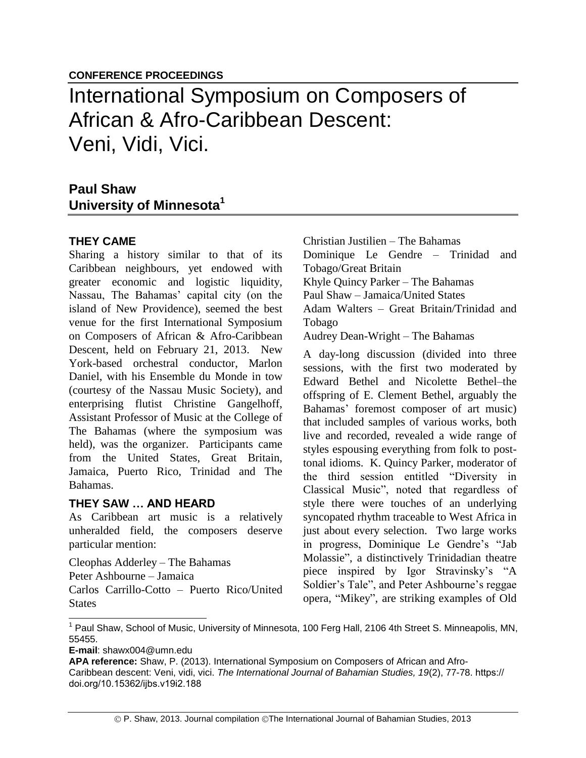# International Symposium on Composers of African & Afro-Caribbean Descent: Veni, Vidi, Vici.

## **Paul Shaw University of Minnesota<sup>1</sup>**

### **THEY CAME**

Sharing a history similar to that of its Caribbean neighbours, yet endowed with greater economic and logistic liquidity, Nassau, The Bahamas' capital city (on the island of New Providence), seemed the best venue for the first International Symposium on Composers of African & Afro-Caribbean Descent, held on February 21, 2013. New York-based orchestral conductor, Marlon Daniel, with his Ensemble du Monde in tow (courtesy of the Nassau Music Society), and enterprising flutist Christine Gangelhoff, Assistant Professor of Music at the College of The Bahamas (where the symposium was held), was the organizer. Participants came from the United States, Great Britain, Jamaica, Puerto Rico, Trinidad and The Bahamas.

#### **THEY SAW … AND HEARD**

As Caribbean art music is a relatively unheralded field, the composers deserve particular mention:

Cleophas Adderley – The Bahamas Peter Ashbourne – Jamaica Carlos Carrillo-Cotto – Puerto Rico/United **States** 

Christian Justilien – The Bahamas

Dominique Le Gendre – Trinidad and Tobago/Great Britain

Khyle Quincy Parker – The Bahamas

Paul Shaw – Jamaica/United States

Adam Walters – Great Britain/Trinidad and Tobago

Audrey Dean-Wright – The Bahamas

A day-long discussion (divided into three sessions, with the first two moderated by Edward Bethel and Nicolette Bethel–the offspring of E. Clement Bethel, arguably the Bahamas' foremost composer of art music) that included samples of various works, both live and recorded, revealed a wide range of styles espousing everything from folk to posttonal idioms. K. Quincy Parker, moderator of the third session entitled "Diversity in Classical Music", noted that regardless of style there were touches of an underlying syncopated rhythm traceable to West Africa in just about every selection. Two large works in progress, Dominique Le Gendre's "Jab Molassie", a distinctively Trinidadian theatre piece inspired by Igor Stravinsky's "A Soldier's Tale", and Peter Ashbourne's reggae opera, "Mikey", are striking examples of Old

**E-mail**: shawx004@umn.edu

<sup>&</sup>lt;sup>1</sup> Paul Shaw, School of Music, University of Minnesota, 100 Ferg Hall, 2106 4th Street S. Minneapolis, MN, 55455.

**APA reference:** Shaw, P. (2013). International Symposium on Composers of African and Afro-

Caribbean descent: Veni, vidi, vici. *The International Journal of Bahamian Studies, 19*(2), 77-78. https:// doi.org/10.15362/ijbs.v19i2.188